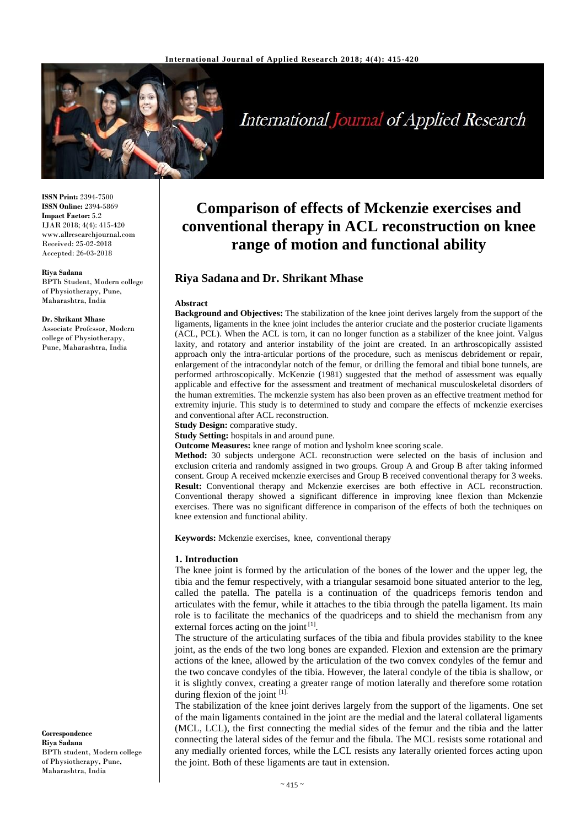

# **International Journal of Applied Research**

**ISSN Print:** 2394-7500 **ISSN Online:** 2394-5869 **Impact Factor:** 5.2 IJAR 2018; 4(4): 415-420 www.allresearchjournal.com Received: 25-02-2018 Accepted: 26-03-2018

#### **Riya Sadana**

BPTh Student, Modern college of Physiotherapy, Pune, Maharashtra, India

#### **Dr. Shrikant Mhase**

Associate Professor, Modern college of Physiotherapy, Pune, Maharashtra, India

**Correspondence Riya Sadana** BPTh student, Modern college of Physiotherapy, Pune, Maharashtra, India

## **Comparison of effects of Mckenzie exercises and conventional therapy in ACL reconstruction on knee range of motion and functional ability**

### **Riya Sadana and Dr. Shrikant Mhase**

#### **Abstract**

**Background and Objectives:** The stabilization of the knee joint derives largely from the support of the ligaments, ligaments in the knee joint includes the anterior cruciate and the posterior cruciate ligaments (ACL, PCL). When the ACL is torn, it can no longer function as a stabilizer of the knee joint. Valgus laxity, and rotatory and anterior instability of the joint are created. In an arthroscopically assisted approach only the intra-articular portions of the procedure, such as meniscus debridement or repair, enlargement of the intracondylar notch of the femur, or drilling the femoral and tibial bone tunnels, are performed arthroscopically. McKenzie (1981) suggested that the method of assessment was equally applicable and effective for the assessment and treatment of mechanical musculoskeletal disorders of the human extremities. The mckenzie system has also been proven as an effective treatment method for extremity injurie. This study is to determined to study and compare the effects of mckenzie exercises and conventional after ACL reconstruction.

**Study Design:** comparative study.

**Study Setting:** hospitals in and around pune.

**Outcome Measures:** knee range of motion and lysholm knee scoring scale.

**Method:** 30 subjects undergone ACL reconstruction were selected on the basis of inclusion and exclusion criteria and randomly assigned in two groups. Group A and Group B after taking informed consent. Group A received mckenzie exercises and Group B received conventional therapy for 3 weeks. **Result:** Conventional therapy and Mckenzie exercises are both effective in ACL reconstruction. Conventional therapy showed a significant difference in improving knee flexion than Mckenzie exercises. There was no significant difference in comparison of the effects of both the techniques on knee extension and functional ability.

**Keywords:** Mckenzie exercises, knee, conventional therapy

#### **1. Introduction**

The knee joint is formed by the articulation of the bones of the lower and the upper leg, the tibia and the femur respectively, with a triangular sesamoid bone situated anterior to the leg, called the patella. The patella is a continuation of the quadriceps femoris tendon and articulates with the femur, while it attaches to the tibia through the patella ligament. Its main role is to facilitate the mechanics of the quadriceps and to shield the mechanism from any external forces acting on the joint [1].

The structure of the articulating surfaces of the tibia and fibula provides stability to the knee joint, as the ends of the two long bones are expanded. Flexion and extension are the primary actions of the knee, allowed by the articulation of the two convex condyles of the femur and the two concave condyles of the tibia. However, the lateral condyle of the tibia is shallow, or it is slightly convex, creating a greater range of motion laterally and therefore some rotation during flexion of the joint [1].

The stabilization of the knee joint derives largely from the support of the ligaments. One set of the main ligaments contained in the joint are the medial and the lateral collateral ligaments (MCL, LCL), the first connecting the medial sides of the femur and the tibia and the latter connecting the lateral sides of the femur and the fibula. The MCL resists some rotational and any medially oriented forces, while the LCL resists any laterally oriented forces acting upon the joint. Both of these ligaments are taut in extension.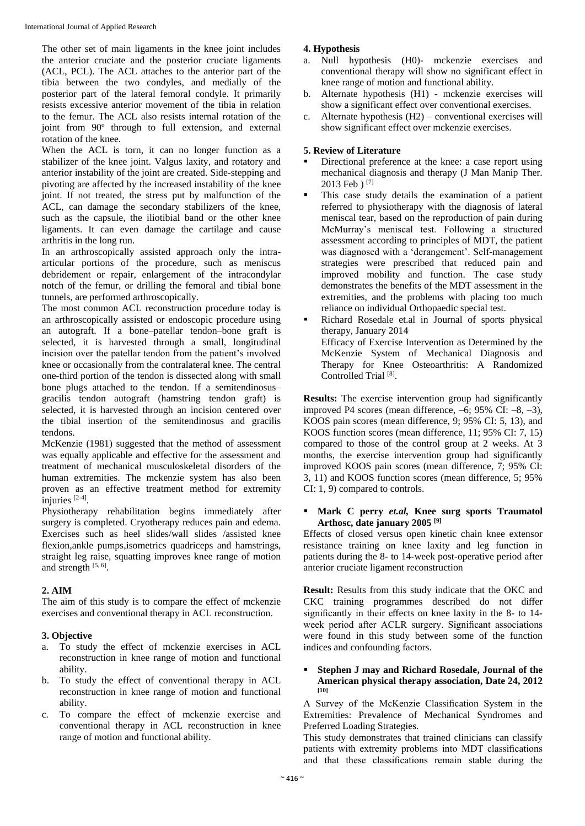The other set of main ligaments in the knee joint includes the anterior cruciate and the posterior cruciate ligaments (ACL, PCL). The ACL attaches to the anterior part of the tibia between the two condyles, and medially of the posterior part of the lateral femoral condyle. It primarily resists excessive anterior movement of the tibia in relation to the femur. The ACL also resists internal rotation of the joint from 90º through to full extension, and external rotation of the knee.

When the ACL is torn, it can no longer function as a stabilizer of the knee joint. Valgus laxity, and rotatory and anterior instability of the joint are created. Side-stepping and pivoting are affected by the increased instability of the knee joint. If not treated, the stress put by malfunction of the ACL, can damage the secondary stabilizers of the knee, such as the capsule, the iliotibial band or the other knee ligaments. It can even damage the cartilage and cause arthritis in the long run.

In an arthroscopically assisted approach only the intraarticular portions of the procedure, such as meniscus debridement or repair, enlargement of the intracondylar notch of the femur, or drilling the femoral and tibial bone tunnels, are performed arthroscopically.

The most common ACL reconstruction procedure today is an arthroscopically assisted or endoscopic procedure using an autograft. If a bone–patellar tendon–bone graft is selected, it is harvested through a small, longitudinal incision over the patellar tendon from the patient's involved knee or occasionally from the contralateral knee. The central one-third portion of the tendon is dissected along with small bone plugs attached to the tendon. If a semitendinosus– gracilis tendon autograft (hamstring tendon graft) is selected, it is harvested through an incision centered over the tibial insertion of the semitendinosus and gracilis tendons.

McKenzie (1981) suggested that the method of assessment was equally applicable and effective for the assessment and treatment of mechanical musculoskeletal disorders of the human extremities. The mckenzie system has also been proven as an effective treatment method for extremity injuries [2-4] .

Physiotherapy rehabilitation begins immediately after surgery is completed. Cryotherapy reduces pain and edema. Exercises such as heel slides/wall slides /assisted knee flexion,ankle pumps,isometrics quadriceps and hamstrings, straight leg raise, squatting improves knee range of motion and strength  $[5, 6]$ .

### **2. AIM**

The aim of this study is to compare the effect of mckenzie exercises and conventional therapy in ACL reconstruction.

## **3. Objective**

- a. To study the effect of mckenzie exercises in ACL reconstruction in knee range of motion and functional ability.
- b. To study the effect of conventional therapy in ACL reconstruction in knee range of motion and functional ability.
- c. To compare the effect of mckenzie exercise and conventional therapy in ACL reconstruction in knee range of motion and functional ability.

## **4. Hypothesis**

- a. Null hypothesis (H0)- mckenzie exercises and conventional therapy will show no significant effect in knee range of motion and functional ability.
- b. Alternate hypothesis (H1) mckenzie exercises will show a significant effect over conventional exercises.
- c. Alternate hypothesis (H2) conventional exercises will show significant effect over mckenzie exercises.

## **5. Review of Literature**

- Directional preference at the knee: a case report using mechanical diagnosis and therapy (J Man Manip Ther.  $2013$  Feb  $[7]$
- This case study details the examination of a patient referred to physiotherapy with the diagnosis of lateral meniscal tear, based on the reproduction of pain during McMurray's meniscal test. Following a structured assessment according to principles of MDT, the patient was diagnosed with a 'derangement'. Self-management strategies were prescribed that reduced pain and improved mobility and function. The case study demonstrates the benefits of the MDT assessment in the extremities, and the problems with placing too much reliance on individual Orthopaedic special test.
- Richard Rosedale et.al in Journal of sports physical therapy, January 2014. Efficacy of Exercise Intervention as Determined by the McKenzie System of Mechanical Diagnosis and Therapy for Knee Osteoarthritis: A Randomized Controlled Trial<sup>[8]</sup>.

**Results:** The exercise intervention group had significantly improved P4 scores (mean difference, –6; 95% CI: –8, –3), KOOS pain scores (mean difference, 9; 95% CI: 5, 13), and KOOS function scores (mean difference, 11; 95% CI: 7, 15) compared to those of the control group at 2 weeks. At 3 months, the exercise intervention group had significantly improved KOOS pain scores (mean difference, 7; 95% CI: 3, 11) and KOOS function scores (mean difference, 5; 95% CI: 1, 9) compared to controls.

#### **Mark C perry** *et.al,* **Knee surg sports Traumatol Arthosc, date january 2005 [9]**

Effects of closed versus open kinetic chain knee extensor resistance training on knee laxity and leg function in patients during the 8- to 14-week post-operative period after anterior cruciate ligament reconstruction

**Result:** Results from this study indicate that the OKC and CKC training programmes described do not differ significantly in their effects on knee laxity in the 8- to 14 week period after ACLR surgery. Significant associations were found in this study between some of the function indices and confounding factors.

#### **Stephen J may and Richard Rosedale, Journal of the American physical therapy association, Date 24, 2012 [10]**

A Survey of the McKenzie Classification System in the Extremities: Prevalence of Mechanical Syndromes and Preferred Loading Strategies.

This study demonstrates that trained clinicians can classify patients with extremity problems into MDT classifications and that these classifications remain stable during the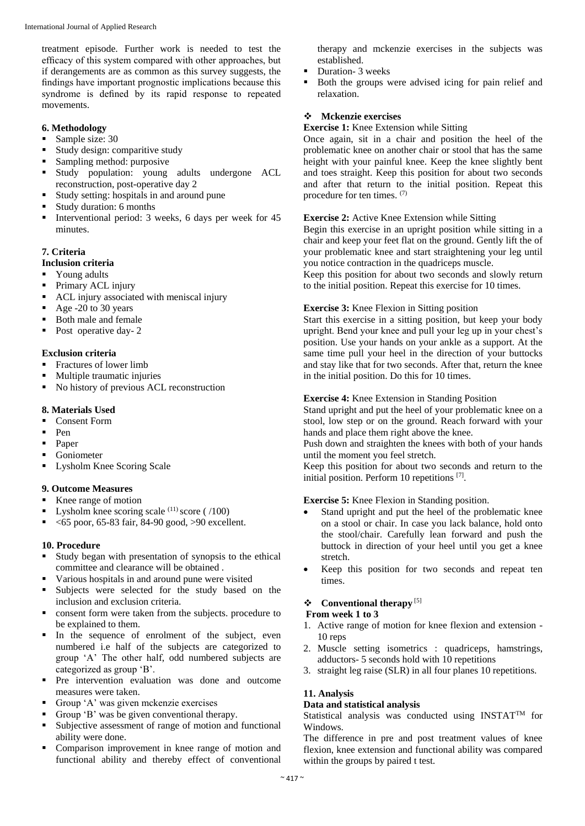treatment episode. Further work is needed to test the efficacy of this system compared with other approaches, but if derangements are as common as this survey suggests, the findings have important prognostic implications because this syndrome is defined by its rapid response to repeated movements.

#### **6. Methodology**

- Sample size:  $30$
- Study design: comparitive study
- Sampling method: purposive
- Study population: young adults undergone ACL reconstruction, post-operative day 2
- Study setting: hospitals in and around pune
- Study duration: 6 months
- Interventional period: 3 weeks, 6 days per week for 45 minutes.

#### **7. Criteria**

#### **Inclusion criteria**

- Young adults
- Primary ACL injury
- ACL injury associated with meniscal injury
- $\blacksquare$  Age -20 to 30 years
- Both male and female
- Post operative day- 2

#### **Exclusion criteria**

- Fractures of lower limb
- Multiple traumatic injuries
- No history of previous ACL reconstruction

#### **8. Materials Used**

- Consent Form
- $Pen$
- Paper
- Goniometer
- Lysholm Knee Scoring Scale

#### **9. Outcome Measures**

- Knee range of motion
- Lysholm knee scoring scale  $^{(11)}$  score ( /100)
- $\blacktriangleright$  <65 poor, 65-83 fair, 84-90 good, >90 excellent.

#### **10. Procedure**

- Study began with presentation of synopsis to the ethical committee and clearance will be obtained .
- Various hospitals in and around pune were visited
- Subjects were selected for the study based on the inclusion and exclusion criteria.
- consent form were taken from the subjects. procedure to be explained to them.
- In the sequence of enrolment of the subject, even numbered i.e half of the subjects are categorized to group 'A' The other half, odd numbered subjects are categorized as group 'B'.
- Pre intervention evaluation was done and outcome measures were taken.
- Group 'A' was given mckenzie exercises
- Group 'B' was be given conventional therapy.
- Subjective assessment of range of motion and functional ability were done.
- Comparison improvement in knee range of motion and functional ability and thereby effect of conventional

therapy and mckenzie exercises in the subjects was established.

- Duration- 3 weeks
- Both the groups were advised icing for pain relief and relaxation.

#### **Mckenzie exercises**

#### **Exercise 1:** Knee Extension while Sitting

Once again, sit in a chair and position the heel of the problematic knee on another chair or stool that has the same height with your painful knee. Keep the knee slightly bent and toes straight. Keep this position for about two seconds and after that return to the initial position. Repeat this procedure for ten times. (7)

#### **Exercise 2:** Active Knee Extension while Sitting

Begin this exercise in an upright position while sitting in a chair and keep your feet flat on the ground. Gently lift the of your problematic knee and start straightening your leg until you notice contraction in the quadriceps muscle.

Keep this position for about two seconds and slowly return to the initial position. Repeat this exercise for 10 times.

#### **Exercise 3:** Knee Flexion in Sitting position

Start this exercise in a sitting position, but keep your body upright. Bend your knee and pull your leg up in your chest's position. Use your hands on your ankle as a support. At the same time pull your heel in the direction of your buttocks and stay like that for two seconds. After that, return the knee in the initial position. Do this for 10 times.

#### **Exercise 4:** Knee Extension in Standing Position

Stand upright and put the heel of your problematic knee on a stool, low step or on the ground. Reach forward with your hands and place them right above the knee.

Push down and straighten the knees with both of your hands until the moment you feel stretch.

Keep this position for about two seconds and return to the initial position. Perform 10 repetitions [7] .

#### **Exercise 5:** Knee Flexion in Standing position.

- Stand upright and put the heel of the problematic knee on a stool or chair. In case you lack balance, hold onto the stool/chair. Carefully lean forward and push the buttock in direction of your heel until you get a knee stretch.
- Keep this position for two seconds and repeat ten times.

#### **❖** Conventional therapy<sup>[5]</sup>

#### **From week 1 to 3**

- 1. Active range of motion for knee flexion and extension 10 reps
- 2. Muscle setting isometrics : quadriceps, hamstrings, adductors- 5 seconds hold with 10 repetitions
- 3. straight leg raise (SLR) in all four planes 10 repetitions.

#### **11. Analysis**

## **Data and statistical analysis**

Statistical analysis was conducted using INSTAT<sup>TM</sup> for Windows.

The difference in pre and post treatment values of knee flexion, knee extension and functional ability was compared within the groups by paired t test.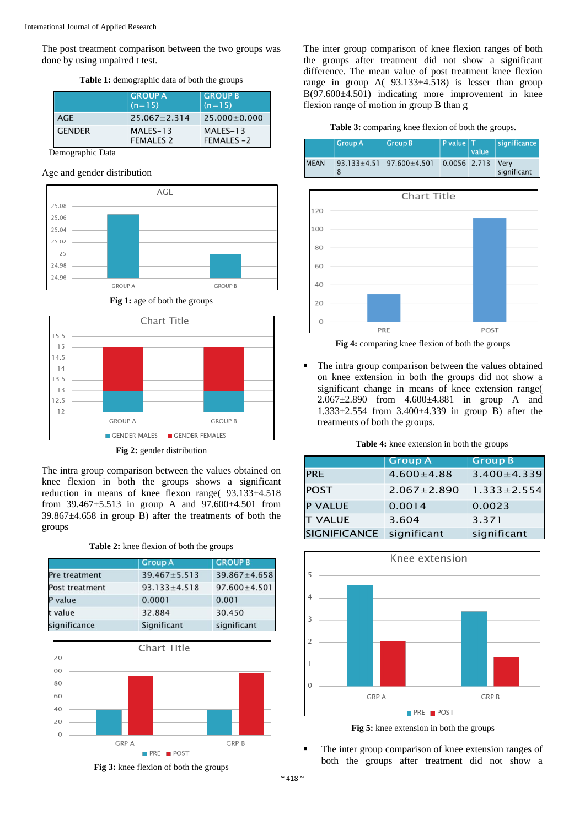The post treatment comparison between the two groups was done by using unpaired t test.

**Table 1:** demographic data of both the groups

|               | <b>GROUP A</b><br>$(n=15)$   | <b>GROUP B</b><br>$(n=15)$ |
|---------------|------------------------------|----------------------------|
| <b>AGE</b>    | $25.067 + 2.314$             | $25.000 \pm 0.000$         |
| <b>GENDER</b> | MALES-13<br><b>FEMALES 2</b> | MALES-13<br>FEMALES-2      |

Demographic Data

#### Age and gender distribution



**Fig 1:** age of both the groups



**Fig 2:** gender distribution

The intra group comparison between the values obtained on knee flexion in both the groups shows a significant reduction in means of knee flexon range( 93.133±4.518 from  $39.467 \pm 5.513$  in group A and  $97.600 \pm 4.501$  from 39.867±4.658 in group B) after the treatments of both the groups

| Table 2: knee flexion of both the groups |  |  |  |  |  |  |  |
|------------------------------------------|--|--|--|--|--|--|--|
|------------------------------------------|--|--|--|--|--|--|--|

|                | <b>Group A</b>     | <b>GROUP B</b>     |
|----------------|--------------------|--------------------|
| Pre treatment  | $39.467 \pm 5.513$ | 39.867±4.658       |
| Post treatment | $93.133 \pm 4.518$ | $97.600 \pm 4.501$ |
| P value        | 0.0001             | 0.001              |
| t value        | 32.884             | 30.450             |
| significance   | Significant        | significant        |





The inter group comparison of knee flexion ranges of both the groups after treatment did not show a significant difference. The mean value of post treatment knee flexion range in group  $A(93.133 \pm 4.518)$  is lesser than group B(97.600±4.501) indicating more improvement in knee flexion range of motion in group B than g

**Table 3:** comparing knee flexion of both the groups.

|             | Group A                | Group B            | P value   T  | value | significance        |
|-------------|------------------------|--------------------|--------------|-------|---------------------|
| <b>MEAN</b> | $93.133 \pm 4.51$<br>8 | $97.600 \pm 4.501$ | 0.0056 2.713 |       | Verv<br>significant |



**Fig 4:** comparing knee flexion of both the groups

 The intra group comparison between the values obtained on knee extension in both the groups did not show a significant change in means of knee extension range( 2.067±2.890 from 4.600±4.881 in group A and 1.333±2.554 from 3.400±4.339 in group B) after the treatments of both the groups.

|  |  |  |  | Table 4: knee extension in both the groups |  |  |  |  |  |
|--|--|--|--|--------------------------------------------|--|--|--|--|--|
|--|--|--|--|--------------------------------------------|--|--|--|--|--|

|                     | <b>Group A</b>    | <b>Group B</b>    |
|---------------------|-------------------|-------------------|
| <b>PRE</b>          | $4.600 \pm 4.88$  | $3.400 \pm 4.339$ |
| <b>POST</b>         | $2.067 \pm 2.890$ | $1.333 \pm 2.554$ |
| <b>P VALUE</b>      | 0.0014            | 0.0023            |
| <b>T VALUE</b>      | 3.604             | 3.371             |
| <b>SIGNIFICANCE</b> | significant       | significant       |



**Fig 5:** knee extension in both the groups

 The inter group comparison of knee extension ranges of both the groups after treatment did not show a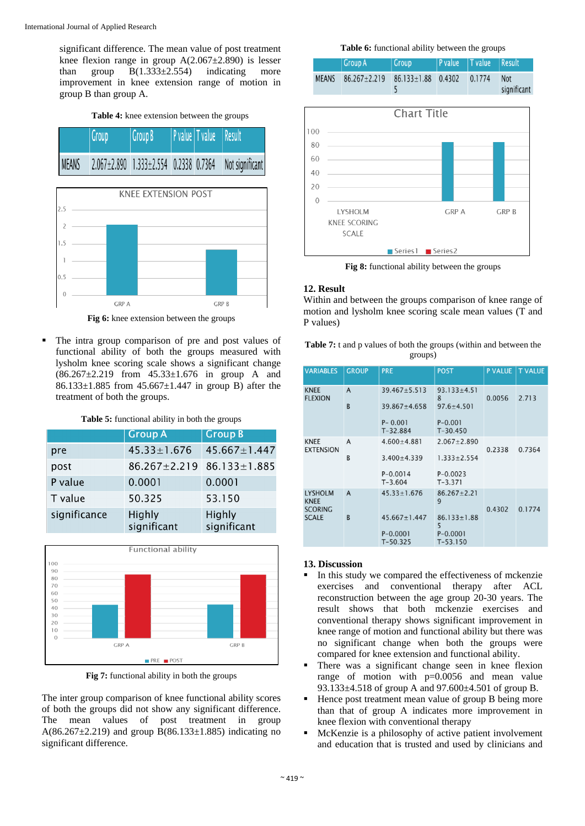significant difference. The mean value of post treatment knee flexion range in group  $A(2.067 \pm 2.890)$  is lesser than group  $B(1.333 \pm 2.554)$  indicating more improvement in knee extension range of motion in group B than group A.

**Table 4:** knee extension between the groups



**Fig 6:** knee extension between the groups

**GRP B** 

**GRP A** 

 The intra group comparison of pre and post values of functional ability of both the groups measured with lysholm knee scoring scale shows a significant change (86.267±2.219 from 45.33±1.676 in group A and 86.133±1.885 from 45.667±1.447 in group B) after the treatment of both the groups.

| Table 5: functional ability in both the groups |  |  |
|------------------------------------------------|--|--|
|------------------------------------------------|--|--|

|              | <b>Group A</b>        | <b>Group B</b>        |
|--------------|-----------------------|-----------------------|
| pre          | $45.33 \pm 1.676$     | $45.667 \pm 1.447$    |
| post         | $86.267 \pm 2.219$    | $86.133 \pm 1.885$    |
| P value      | 0.0001                | 0.0001                |
| T value      | 50.325                | 53.150                |
| significance | Highly<br>significant | Highly<br>significant |



**Fig 7:** functional ability in both the groups

The inter group comparison of knee functional ability scores of both the groups did not show any significant difference. The mean values of post treatment in group A(86.267 $\pm$ 2.219) and group B(86.133 $\pm$ 1.885) indicating no significant difference.

#### **Table 6:** functional ability between the groups

|              | Group A                                     | Group | P value   T value   Result |                           |
|--------------|---------------------------------------------|-------|----------------------------|---------------------------|
| <b>MEANS</b> | $86.267 \pm 2.219$ $86.133 \pm 1.88$ 0.4302 |       | 0.1774                     | <b>Not</b><br>significant |



**Fig 8:** functional ability between the groups

#### **12. Result**

Within and between the groups comparison of knee range of motion and lysholm knee scoring scale mean values (T and P values)

**Table 7:** t and p values of both the groups (within and between the groups)

| <b>VARIABLES</b>                | <b>GROUP</b> | <b>PRE</b>                  | <b>POST</b>                 | <b>P VALUE</b> | <b>T VALUE</b> |
|---------------------------------|--------------|-----------------------------|-----------------------------|----------------|----------------|
| <b>KNEE</b><br><b>FLEXION</b>   | A            | $39.467 + 5.513$            | $93.133 + 4.51$<br>8        | 0.0056         | 2.713          |
|                                 | B            | $39.867 \pm 4.658$          | $97.6 + 4.501$              |                |                |
|                                 |              | $P - 0.001$<br>$T-32.884$   | $P - 0.001$<br>$T-30.450$   |                |                |
| <b>KNEE</b><br><b>EXTENSION</b> | A            | $4.600 \pm 4.881$           | $2.067 + 2.890$             | 0.2338         | 0.7364         |
|                                 | B            | $3.400 \pm 4.339$           | $1.333 \pm 2.554$           |                |                |
|                                 |              | $P - 0.0014$<br>$T - 3.604$ | $P - 0.0023$<br>$T - 3.371$ |                |                |
| <b>LYSHOLM</b><br><b>KNEE</b>   | $\mathsf{A}$ | $45.33 \pm 1.676$           | $86.267 + 2.21$<br>9        |                |                |
| <b>SCORING</b><br><b>SCALE</b>  | <sub>B</sub> | $45.667 \pm 1.447$          | $86.133 \pm 1.88$<br>5      | 0.4302         | 0.1774         |
|                                 |              | $P - 0.0001$<br>$T-50.325$  | $P - 0.0001$<br>$T-53.150$  |                |                |

#### **13. Discussion**

- In this study we compared the effectiveness of mckenzie exercises and conventional therapy after ACL reconstruction between the age group 20-30 years. The result shows that both mckenzie exercises and conventional therapy shows significant improvement in knee range of motion and functional ability but there was no significant change when both the groups were compared for knee extension and functional ability.
- There was a significant change seen in knee flexion range of motion with  $p=0.0056$  and mean value 93.133±4.518 of group A and 97.600±4.501 of group B.
- Hence post treatment mean value of group B being more than that of group A indicates more improvement in knee flexion with conventional therapy
- McKenzie is a philosophy of active patient involvement and education that is trusted and used by clinicians and